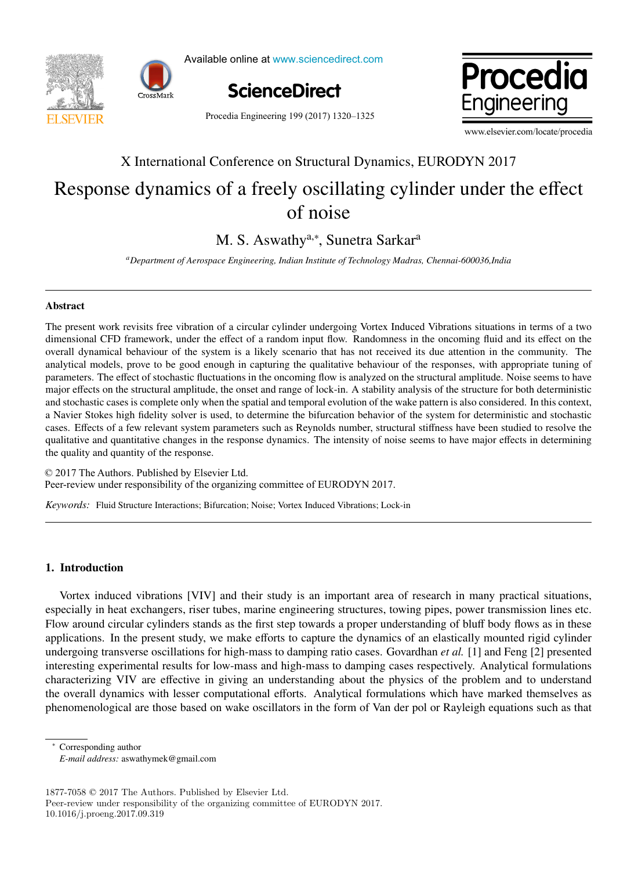



Available online at www.sciencedirect.com Available online at www.sciencedirect.com Available online at www.sciencedirect.com





Procedia Engineering 199 (2017) 1320-1325

www.elsevier.com/locate/procedia www.elsevier.com/locate/procedia

# X International Conference on Structural Dynamics, EURODYN 2017 X International Conference on Structural Dynamics, EURODYN 2017 Response dynamics of a freely oscillating cylinder under the effect Response dynamics of a freely oscillating cylinder under the effect of noise of noise

M. S. Aswathy<sup>a,∗</sup>, Sunetra Sarkar<sup>a</sup>

*aDepartment of Aerospace Engineering, Indian Institute of Technology Madras, Chennai-600036,India aDepartment of Aerospace Engineering, Indian Institute of Technology Madras, Chennai-600036,India*

# Abstract Abstract

dimensional CFD framework, under the effect of a random input flow. Randomness in the oncoming fluid and its effect on the overall dynamical behaviour of the system is a likely scenario that has not received its due attention in the community. The analytical models, prove to be good enough in capturing the qualitative behaviour of the responses, with appropriate tuning of analytical models, prove to be good enough in capturing the qualitative behaviour of the respon parameters. The effect of stochastic fluctuations in the oncoming flow is analyzed on the responses, while appropriate tuning or<br>parameters. The effect of stochastic fluctuations in the oncoming flow is analyzed on the str parameters. The effect of stochastic intertations in the oneofiling now is analyzed on the structural ampintude. Noise seems to have major effects on the structural amplitude, the onset and range of lock-in. A stability an and stochastic cases is complete only when the spatial and temporal evolution of the wake pattern is also considered. In this context, a Navier Stokes high fidelity solver is used, to determine the bifurcation behavior of the system for deterministic and stochastic cases. Effects of a few relevant system parameters such as Reynolds number, structural stiffness have been studied to resolve the cases. Effects of a few relevant system parameters such as Reynolds number, structural stiffness have been structural structural stiffness have been structured to resolve the structure theory the total structure the struct qualitative and quantitative changes in the response dynamics. The intensity of noise seems to have major effects in determining<br>the systitused apartity of the assesses the quality and quantity of the response. the quality and quantity of the response. The present work revisits free vibration of a circular cylinder undergoing Vortex Induced Vibrations situations in terms of a two

© 2017 The Authors. Published by Elsevier Ltd. c 2017 The Authors. Published by Elsevier Ltd. c 2017 The Authors. Published by Elsevier Ltd. Exert, the Additions. Fubrished by Eisevier Edd.<br>Peer-review under responsibility of the organizing committee of EURODYN 2017.

*Keywords:* Fluid Structure Interactions; Bifurcation; Noise; Vortex Induced Vibrations; Lock-in *Keywords:* Fluid Structure Interactions; Bifurcation; Noise; Vortex Induced Vibrations; Lock-in

# 1. Introduction 1. Introduction

Vortex induced vibrations [VIV] and their study is an important area of research in many practical situations, Vortex induced vibrations [VIV] and their study is an important area of research in many practical situations, especially in heat exchangers, riser tubes, marine engineering structures, towing pipes, power transmission lines etc. Flow around circular cylinders stands as the first step towards a proper understanding of bluff body flows as in these applications. In the present study, we make efforts to capture the dynamics of an elastically mounted rigid cylinder undergoing transverse oscillations for high-mass to damping ratio cases. Govardhan *et al.* [1] and Feng [2] presented interesting experimental results for low-mass and high-mass to damping cases respectively. Analytical formulations characterizing VIV are effective in giving an understanding about the physics of the problem and to understand characterizing VIV are effective in giving an understanding about the physics of the problem and to understand the overall dynamics with lesser computational efforts. Analytical formulations which have marked themselves as the overall dynamics with lesser computational efforts. Analytical formulations which have marked themselves as phenomenological are those based on wake oscillators in the form of Van der pol or Rayleigh equations such as that

∗ Corresponding author ∗ Corresponding author

*E-mail address:* aswathymek@gmail.com *E-mail address:* aswathymek@gmail.com

1877-7058 $\copyright$  2017 The Authors. Published by Elsevier Ltd. Peer-review under responsibility of the organizing committee of EURODYN 2017. 10.1016/j.proeng.2017.09.319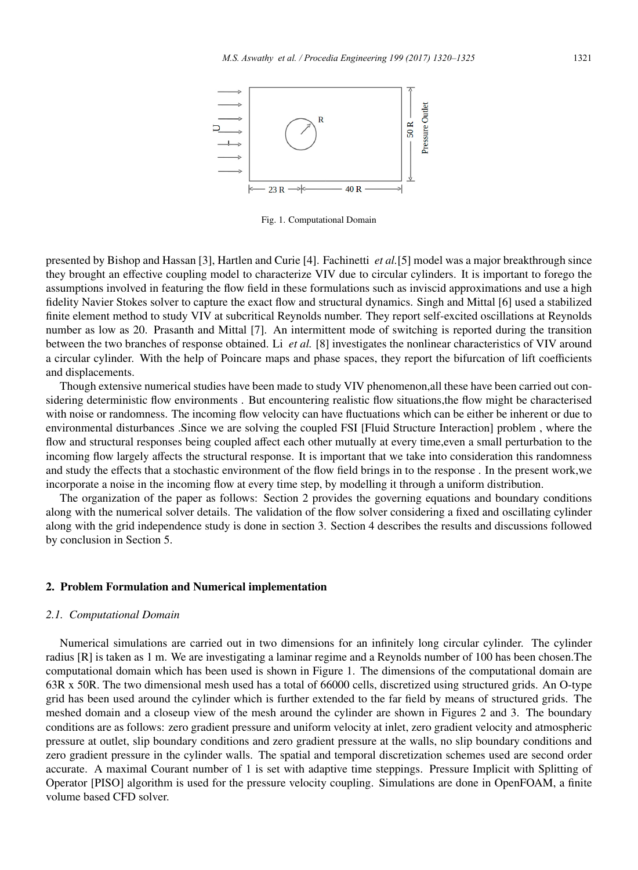

Fig. 1. Computational Domain

presented by Bishop and Hassan [3], Hartlen and Curie [4]. Fachinetti *et al.*[5] model was a major breakthrough since they brought an effective coupling model to characterize VIV due to circular cylinders. It is important to forego the assumptions involved in featuring the flow field in these formulations such as inviscid approximations and use a high fidelity Navier Stokes solver to capture the exact flow and structural dynamics. Singh and Mittal [6] used a stabilized finite element method to study VIV at subcritical Reynolds number. They report self-excited oscillations at Reynolds number as low as 20. Prasanth and Mittal [7]. An intermittent mode of switching is reported during the transition between the two branches of response obtained. Li *et al.* [8] investigates the nonlinear characteristics of VIV around a circular cylinder. With the help of Poincare maps and phase spaces, they report the bifurcation of lift coefficients and displacements.

Though extensive numerical studies have been made to study VIV phenomenon,all these have been carried out considering deterministic flow environments . But encountering realistic flow situations,the flow might be characterised with noise or randomness. The incoming flow velocity can have fluctuations which can be either be inherent or due to environmental disturbances .Since we are solving the coupled FSI [Fluid Structure Interaction] problem , where the flow and structural responses being coupled affect each other mutually at every time,even a small perturbation to the incoming flow largely affects the structural response. It is important that we take into consideration this randomness and study the effects that a stochastic environment of the flow field brings in to the response . In the present work,we incorporate a noise in the incoming flow at every time step, by modelling it through a uniform distribution.

The organization of the paper as follows: Section 2 provides the governing equations and boundary conditions along with the numerical solver details. The validation of the flow solver considering a fixed and oscillating cylinder along with the grid independence study is done in section 3. Section 4 describes the results and discussions followed by conclusion in Section 5.

## 2. Problem Formulation and Numerical implementation

#### *2.1. Computational Domain*

Numerical simulations are carried out in two dimensions for an infinitely long circular cylinder. The cylinder radius [R] is taken as 1 m. We are investigating a laminar regime and a Reynolds number of 100 has been chosen.The computational domain which has been used is shown in Figure 1. The dimensions of the computational domain are 63R x 50R. The two dimensional mesh used has a total of 66000 cells, discretized using structured grids. An O-type grid has been used around the cylinder which is further extended to the far field by means of structured grids. The meshed domain and a closeup view of the mesh around the cylinder are shown in Figures 2 and 3. The boundary conditions are as follows: zero gradient pressure and uniform velocity at inlet, zero gradient velocity and atmospheric pressure at outlet, slip boundary conditions and zero gradient pressure at the walls, no slip boundary conditions and zero gradient pressure in the cylinder walls. The spatial and temporal discretization schemes used are second order accurate. A maximal Courant number of 1 is set with adaptive time steppings. Pressure Implicit with Splitting of Operator [PISO] algorithm is used for the pressure velocity coupling. Simulations are done in OpenFOAM, a finite volume based CFD solver.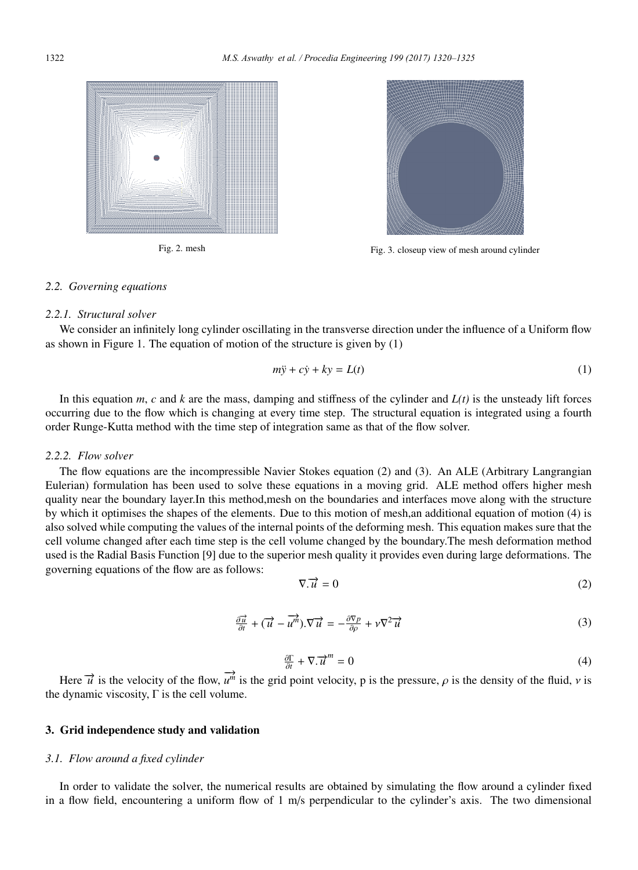



Fig. 2. mesh Fig. 3. closeup view of mesh around cylinder

#### *2.2. Governing equations*

#### *2.2.1. Structural solver*

We consider an infinitely long cylinder oscillating in the transverse direction under the influence of a Uniform flow as shown in Figure 1. The equation of motion of the structure is given by (1)

$$
m\ddot{y} + c\dot{y} + ky = L(t) \tag{1}
$$

In this equation  $m$ ,  $c$  and  $k$  are the mass, damping and stiffness of the cylinder and  $L(t)$  is the unsteady lift forces occurring due to the flow which is changing at every time step. The structural equation is integrated using a fourth order Runge-Kutta method with the time step of integration same as that of the flow solver.

#### *2.2.2. Flow solver*

The flow equations are the incompressible Navier Stokes equation (2) and (3). An ALE (Arbitrary Langrangian Eulerian) formulation has been used to solve these equations in a moving grid. ALE method offers higher mesh quality near the boundary layer.In this method,mesh on the boundaries and interfaces move along with the structure by which it optimises the shapes of the elements. Due to this motion of mesh,an additional equation of motion (4) is also solved while computing the values of the internal points of the deforming mesh. This equation makes sure that the cell volume changed after each time step is the cell volume changed by the boundary.The mesh deformation method used is the Radial Basis Function [9] due to the superior mesh quality it provides even during large deformations. The governing equations of the flow are as follows:

$$
\nabla \cdot \vec{u} = 0 \tag{2}
$$

$$
\frac{\partial \vec{u}}{\partial t} + (\vec{u} - \vec{u''}). \nabla \vec{u} = -\frac{\partial \nabla p}{\partial \rho} + \nu \nabla^2 \vec{u}
$$
\n(3)

$$
\frac{\partial \Gamma}{\partial t} + \nabla \cdot \vec{u}^m = 0 \tag{4}
$$

Here  $\vec{u}$  is the velocity of the flow,  $\vec{u}^m$  is the grid point velocity, p is the pressure,  $\rho$  is the density of the fluid,  $\nu$  is the dynamic viscosity,  $\Gamma$  is the cell volume.

#### 3. Grid independence study and validation

### *3.1. Flow around a fixed cylinder*

In order to validate the solver, the numerical results are obtained by simulating the flow around a cylinder fixed in a flow field, encountering a uniform flow of 1 m/s perpendicular to the cylinder's axis. The two dimensional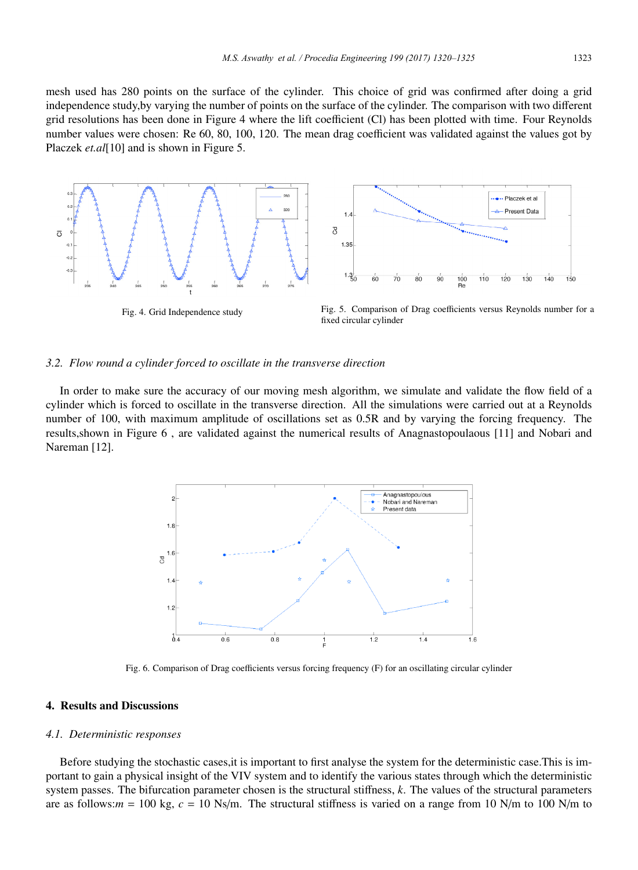mesh used has 280 points on the surface of the cylinder. This choice of grid was confirmed after doing a grid independence study,by varying the number of points on the surface of the cylinder. The comparison with two different grid resolutions has been done in Figure 4 where the lift coefficient (Cl) has been plotted with time. Four Reynolds number values were chosen: Re 60, 80, 100, 120. The mean drag coefficient was validated against the values got by Placzek *et.al*[10] and is shown in Figure 5.



Fig. 4. Grid Independence study Fig. 5. Comparison of Drag coefficients versus Reynolds number for a fixed circular cylinder

#### *3.2. Flow round a cylinder forced to oscillate in the transverse direction*

In order to make sure the accuracy of our moving mesh algorithm, we simulate and validate the flow field of a cylinder which is forced to oscillate in the transverse direction. All the simulations were carried out at a Reynolds number of 100, with maximum amplitude of oscillations set as 0.5R and by varying the forcing frequency. The results,shown in Figure 6 , are validated against the numerical results of Anagnastopoulaous [11] and Nobari and Nareman [12].



Fig. 6. Comparison of Drag coefficients versus forcing frequency (F) for an oscillating circular cylinder

#### 4. Results and Discussions

### *4.1. Deterministic responses*

Before studying the stochastic cases,it is important to first analyse the system for the deterministic case.This is important to gain a physical insight of the VIV system and to identify the various states through which the deterministic system passes. The bifurcation parameter chosen is the structural stiffness, *k*. The values of the structural parameters are as follows: $m = 100$  kg,  $c = 10$  Ns/m. The structural stiffness is varied on a range from 10 N/m to 100 N/m to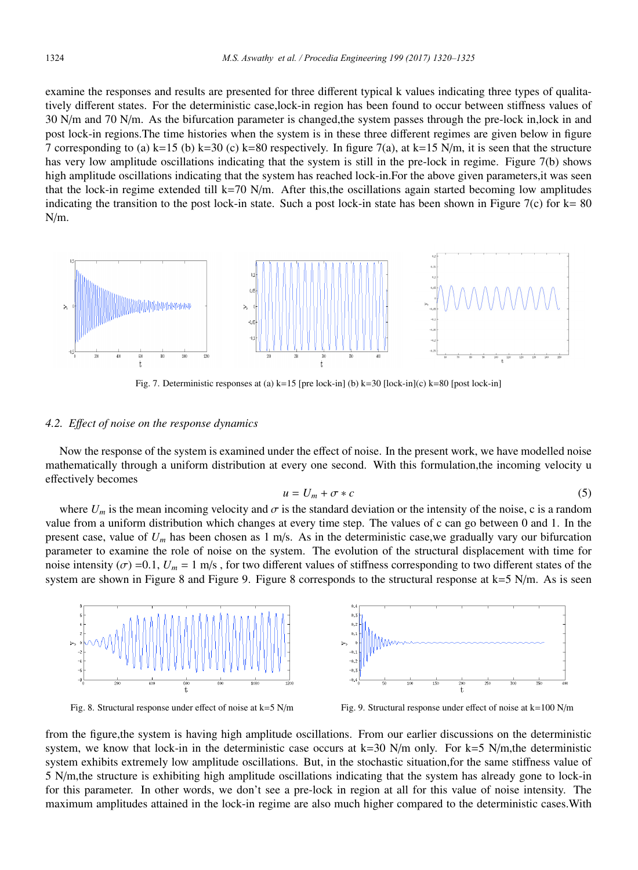examine the responses and results are presented for three different typical k values indicating three types of qualitatively different states. For the deterministic case,lock-in region has been found to occur between stiffness values of 30 N/m and 70 N/m. As the bifurcation parameter is changed,the system passes through the pre-lock in,lock in and post lock-in regions.The time histories when the system is in these three different regimes are given below in figure 7 corresponding to (a) k=15 (b) k=30 (c) k=80 respectively. In figure 7(a), at k=15 N/m, it is seen that the structure has very low amplitude oscillations indicating that the system is still in the pre-lock in regime. Figure 7(b) shows high amplitude oscillations indicating that the system has reached lock-in. For the above given parameters, it was seen that the lock-in regime extended till  $k=70$  N/m. After this, the oscillations again started becoming low amplitudes indicating the transition to the post lock-in state. Such a post lock-in state has been shown in Figure 7(c) for  $k=80$ N/m.



Fig. 7. Deterministic responses at (a) k=15 [pre lock-in] (b) k=30 [lock-in](c) k=80 [post lock-in]

#### *4.2. E*ff*ect of noise on the response dynamics*

Now the response of the system is examined under the effect of noise. In the present work, we have modelled noise mathematically through a uniform distribution at every one second. With this formulation,the incoming velocity u effectively becomes

$$
u = U_m + \sigma * c \tag{5}
$$

where  $U_m$  is the mean incoming velocity and  $\sigma$  is the standard deviation or the intensity of the noise, c is a random value from a uniform distribution which changes at every time step. The values of c can go between 0 and 1. In the present case, value of  $U_m$  has been chosen as 1 m/s. As in the deterministic case, we gradually vary our bifurcation parameter to examine the role of noise on the system. The evolution of the structural displacement with time for noise intensity ( $\sigma$ ) =0.1,  $U_m$  = 1 m/s, for two different values of stiffness corresponding to two different states of the system are shown in Figure 8 and Figure 9. Figure 8 corresponds to the structural response at  $k=5$  N/m. As is seen





from the figure,the system is having high amplitude oscillations. From our earlier discussions on the deterministic system, we know that lock-in in the deterministic case occurs at  $k=30$  N/m only. For  $k=5$  N/m,the deterministic system exhibits extremely low amplitude oscillations. But, in the stochastic situation,for the same stiffness value of 5 N/m,the structure is exhibiting high amplitude oscillations indicating that the system has already gone to lock-in for this parameter. In other words, we don't see a pre-lock in region at all for this value of noise intensity. The maximum amplitudes attained in the lock-in regime are also much higher compared to the deterministic cases.With